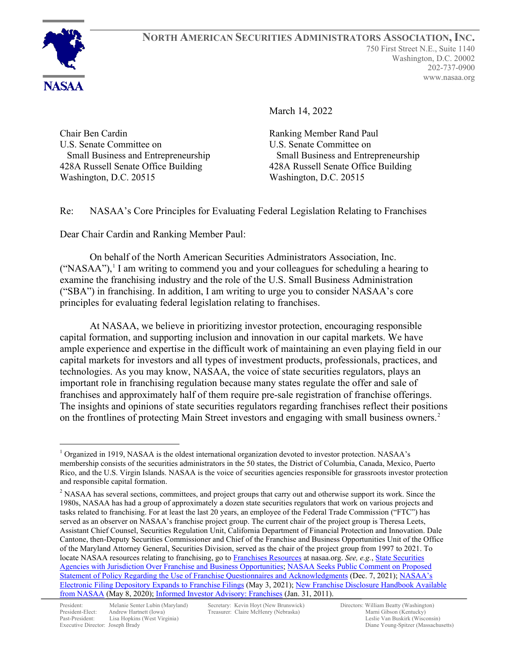March 14, 2022

Chair Ben Cardin U.S. Senate Committee on Small Business and Entrepreneurship 428A Russell Senate Office Building Washington, D.C. 20515

Ranking Member Rand Paul U.S. Senate Committee on Small Business and Entrepreneurship 428A Russell Senate Office Building Washington, D.C. 20515

Re: NASAA's Core Principles for Evaluating Federal Legislation Relating to Franchises

Dear Chair Cardin and Ranking Member Paul:

On behalf of the North American Securities Administrators Association, Inc.  $("NASAA")$ ,<sup>[1](#page-0-0)</sup> I am writing to commend you and your colleagues for scheduling a hearing to examine the franchising industry and the role of the U.S. Small Business Administration ("SBA") in franchising. In addition, I am writing to urge you to consider NASAA's core principles for evaluating federal legislation relating to franchises.

At NASAA, we believe in prioritizing investor protection, encouraging responsible capital formation, and supporting inclusion and innovation in our capital markets. We have ample experience and expertise in the difficult work of maintaining an even playing field in our capital markets for investors and all types of investment products, professionals, practices, and technologies. As you may know, NASAA, the voice of state securities regulators, plays an important role in franchising regulation because many states regulate the offer and sale of franchises and approximately half of them require pre-sale registration of franchise offerings. The insights and opinions of state securities regulators regarding franchises reflect their positions on the frontlines of protecting Main Street investors and engaging with small business owners.<sup>[2](#page-0-1)</sup>

<span id="page-0-0"></span> $1$  Organized in 1919, NASAA is the oldest international organization devoted to investor protection. NASAA's membership consists of the securities administrators in the 50 states, the District of Columbia, Canada, Mexico, Puerto Rico, and the U.S. Virgin Islands. NASAA is the voice of securities agencies responsible for grassroots investor protection and responsible capital formation.

<span id="page-0-1"></span><sup>&</sup>lt;sup>2</sup> NASAA has several sections, committees, and project groups that carry out and otherwise support its work. Since the 1980s, NASAA has had a group of approximately a dozen state securities regulators that work on various projects and tasks related to franchising. For at least the last 20 years, an employee of the Federal Trade Commission ("FTC") has served as an observer on NASAA's franchise project group. The current chair of the project group is Theresa Leets, Assistant Chief Counsel, Securities Regulation Unit, California Department of Financial Protection and Innovation. Dale Cantone, then-Deputy Securities Commissioner and Chief of the Franchise and Business Opportunities Unit of the Office of the Maryland Attorney General, Securities Division, served as the chair of the project group from 1997 to 2021. To locate NASAA resources relating to franchising, go t[o Franchises Resources](https://www.nasaa.org/industry-resources/franchise-resources/) at nasaa.org. *See, e.g.*[, State Securities](https://www.nasaa.org/industry-resources/franchise-resources/franchise-and-business-opportunities/)  [Agencies with Jurisdiction Over Franchise and Business Opportunities;](https://www.nasaa.org/industry-resources/franchise-resources/franchise-and-business-opportunities/) [NASAA Seeks Public Comment on Proposed](https://www.nasaa.org/61176/nasaa-seeks-public-comment-on-proposed-statement-of-policy-regarding-the-use-of-franchise-questionnaires-and-acknowledgments/?qoid=newsroom)  [Statement of Policy Regarding the Use of Franchise Questionnaires and Acknowledgments](https://www.nasaa.org/61176/nasaa-seeks-public-comment-on-proposed-statement-of-policy-regarding-the-use-of-franchise-questionnaires-and-acknowledgments/?qoid=newsroom) (Dec. 7, 2021); NASAA's [Electronic Filing Depository Expands to Franchise Filings](https://www.nasaa.org/57497/nasaas-electronic-filing-depository-expands-to-franchise-filings/?qoid=newsroom) (May 3, 2021)[; New Franchise Disclosure Handbook Available](https://www.nasaa.org/54912/new-franchise-disclosure-handbook-available-from-nasaa/?qoid=newsroom)  [from NASAA](https://www.nasaa.org/54912/new-franchise-disclosure-handbook-available-from-nasaa/?qoid=newsroom) (May 8, 2020)[; Informed Investor Advisory: Franchises](https://www.nasaa.org/2657/franchises/) (Jan. 31, 2011).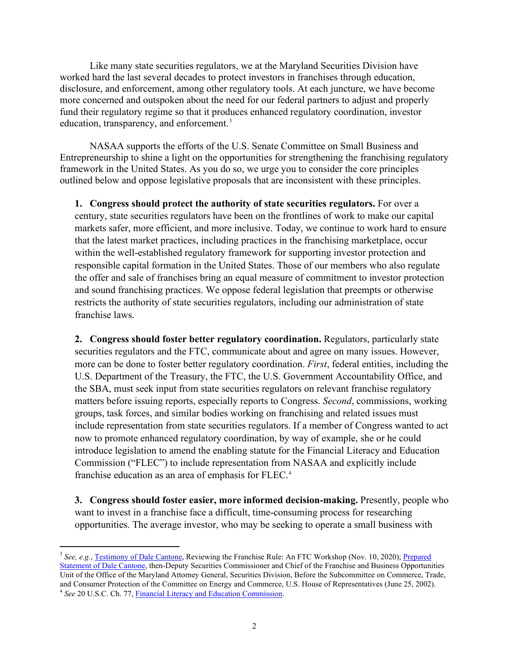Like many state securities regulators, we at the Maryland Securities Division have worked hard the last several decades to protect investors in franchises through education, disclosure, and enforcement, among other regulatory tools. At each juncture, we have become more concerned and outspoken about the need for our federal partners to adjust and properly fund their regulatory regime so that it produces enhanced regulatory coordination, investor education, transparency, and enforcement.<sup>[3](#page-1-0)</sup>

NASAA supports the efforts of the U.S. Senate Committee on Small Business and Entrepreneurship to shine a light on the opportunities for strengthening the franchising regulatory framework in the United States. As you do so, we urge you to consider the core principles outlined below and oppose legislative proposals that are inconsistent with these principles.

**1. Congress should protect the authority of state securities regulators.** For over a century, state securities regulators have been on the frontlines of work to make our capital markets safer, more efficient, and more inclusive. Today, we continue to work hard to ensure that the latest market practices, including practices in the franchising marketplace, occur within the well-established regulatory framework for supporting investor protection and responsible capital formation in the United States. Those of our members who also regulate the offer and sale of franchises bring an equal measure of commitment to investor protection and sound franchising practices. We oppose federal legislation that preempts or otherwise restricts the authority of state securities regulators, including our administration of state franchise laws.

**2. Congress should foster better regulatory coordination.** Regulators, particularly state securities regulators and the FTC, communicate about and agree on many issues. However, more can be done to foster better regulatory coordination. *First*, federal entities, including the U.S. Department of the Treasury, the FTC, the U.S. Government Accountability Office, and the SBA, must seek input from state securities regulators on relevant franchise regulatory matters before issuing reports, especially reports to Congress. *Second*, commissions, working groups, task forces, and similar bodies working on franchising and related issues must include representation from state securities regulators. If a member of Congress wanted to act now to promote enhanced regulatory coordination, by way of example, she or he could introduce legislation to amend the enabling statute for the Financial Literacy and Education Commission ("FLEC") to include representation from NASAA and explicitly include franchise education as an area of emphasis for FLEC.<sup>[4](#page-1-1)</sup>

**3. Congress should foster easier, more informed decision-making.** Presently, people who want to invest in a franchise face a difficult, time-consuming process for researching opportunities. The average investor, who may be seeking to operate a small business with

<span id="page-1-1"></span><span id="page-1-0"></span><sup>&</sup>lt;sup>3</sup> See, e.g., [Testimony of Dale Cantone,](https://www.ftc.gov/system/files/documents/public_events/1579375/transcript-full-franchise-rule-wksp.pdf) Reviewing the Franchise Rule: An FTC Workshop (Nov. 10, 2020); Prepared [Statement of Dale Cantone,](https://www.nasaa.org/886/the-ftc%e2%80%99s-franchise-rule-twenty-three-years-after-its-promulgation/?qoid=testimony) then-Deputy Securities Commissioner and Chief of the Franchise and Business Opportunities Unit of the Office of the Maryland Attorney General, Securities Division, Before the Subcommittee on Commerce, Trade, and Consumer Protection of the Committee on Energy and Commerce, U.S. House of Representatives (June 25, 2002). <sup>4</sup> *See* 20 U.S.C. Ch. 77, [Financial Literacy and Education Commission.](https://uscode.house.gov/view.xhtml?path=/prelim@title20/chapter77&edition=prelim)